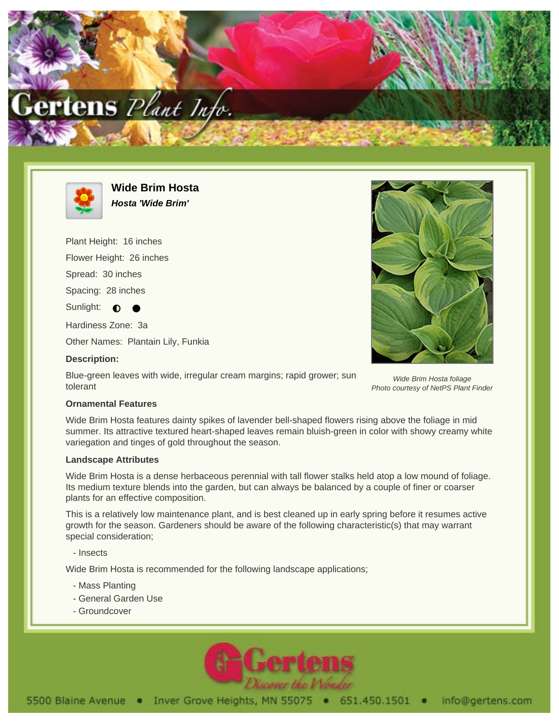



**Wide Brim Hosta Hosta 'Wide Brim'**

Plant Height: 16 inches Flower Height: 26 inches Spread: 30 inches Spacing: 28 inches Sunlight:  $\bigcirc$ Hardiness Zone: 3a

Other Names: Plantain Lily, Funkia

## **Description:**

Blue-green leaves with wide, irregular cream margins; rapid grower; sun tolerant



Wide Brim Hosta foliage Photo courtesy of NetPS Plant Finder

## **Ornamental Features**

Wide Brim Hosta features dainty spikes of lavender bell-shaped flowers rising above the foliage in mid summer. Its attractive textured heart-shaped leaves remain bluish-green in color with showy creamy white variegation and tinges of gold throughout the season.

## **Landscape Attributes**

Wide Brim Hosta is a dense herbaceous perennial with tall flower stalks held atop a low mound of foliage. Its medium texture blends into the garden, but can always be balanced by a couple of finer or coarser plants for an effective composition.

This is a relatively low maintenance plant, and is best cleaned up in early spring before it resumes active growth for the season. Gardeners should be aware of the following characteristic(s) that may warrant special consideration;

- Insects

Wide Brim Hosta is recommended for the following landscape applications;

- Mass Planting
- General Garden Use
- Groundcover